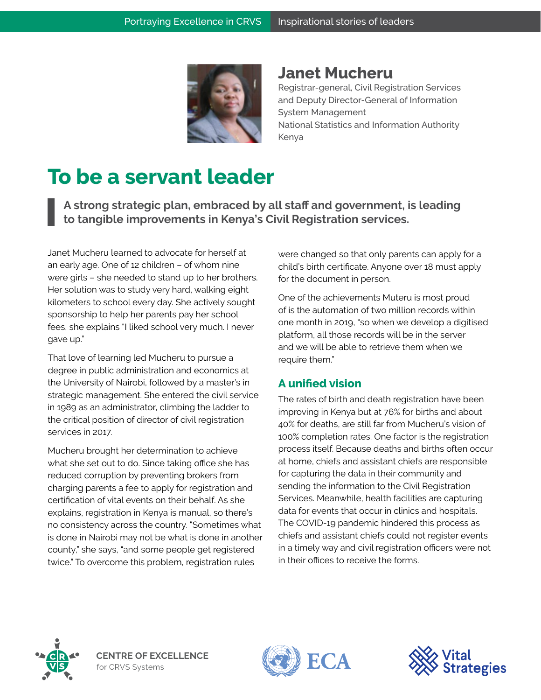

## **Janet Mucheru**

Registrar-general, Civil Registration Services and Deputy Director-General of Information System Management National Statistics and Information Authority Kenya

## **To be a servant leader**

**A strong strategic plan, embraced by all staff and government, is leading to tangible improvements in Kenya's Civil Registration services.**

Janet Mucheru learned to advocate for herself at an early age. One of 12 children – of whom nine were girls – she needed to stand up to her brothers. Her solution was to study very hard, walking eight kilometers to school every day. She actively sought sponsorship to help her parents pay her school fees, she explains "I liked school very much. I never gave up."

That love of learning led Mucheru to pursue a degree in public administration and economics at the University of Nairobi, followed by a master's in strategic management. She entered the civil service in 1989 as an administrator, climbing the ladder to the critical position of director of civil registration services in 2017.

Mucheru brought her determination to achieve what she set out to do. Since taking office she has reduced corruption by preventing brokers from charging parents a fee to apply for registration and certification of vital events on their behalf. As she explains, registration in Kenya is manual, so there's no consistency across the country. "Sometimes what is done in Nairobi may not be what is done in another county," she says, "and some people get registered twice." To overcome this problem, registration rules

were changed so that only parents can apply for a child's birth certificate. Anyone over 18 must apply for the document in person.

One of the achievements Muteru is most proud of is the automation of two million records within one month in 2019, "so when we develop a digitised platform, all those records will be in the server and we will be able to retrieve them when we require them."

## **A unified vision**

The rates of birth and death registration have been improving in Kenya but at 76% for births and about 40% for deaths, are still far from Mucheru's vision of 100% completion rates. One factor is the registration process itself. Because deaths and births often occur at home, chiefs and assistant chiefs are responsible for capturing the data in their community and sending the information to the Civil Registration Services. Meanwhile, health facilities are capturing data for events that occur in clinics and hospitals. The COVID-19 pandemic hindered this process as chiefs and assistant chiefs could not register events in a timely way and civil registration officers were not in their offices to receive the forms.